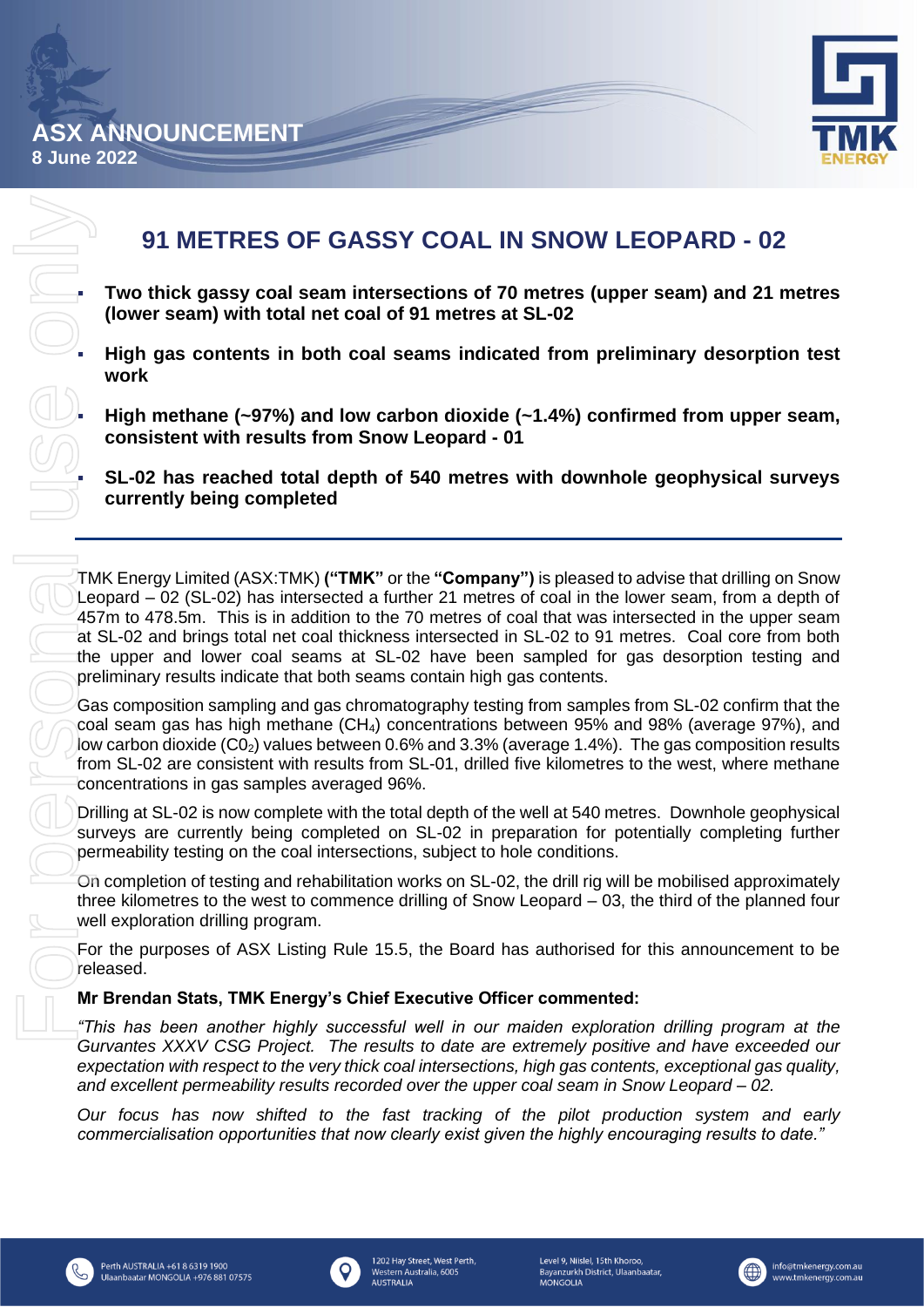



# **91 METRES OF GASSY COAL IN SNOW LEOPARD - 02**

**(lower seam) with total net coal of 91 metres at SL-02**

**Two thick gassy coal seam intersections of 70 metres (upper seam) and 21 metres (lower seam) with total net coal of 91 metres at SL-02<br>High gas contents in both coal seams indicated from preliminary desorption test<br>work<br>H** ▪ **High gas contents in both coal seams indicated from preliminary desorption test work**

High methane (~97%) and low carbon dioxide (~1.4%) confirmed from upper seam, **consistent with results from Snow Leopard - 01**

▪ **SL-02 has reached total depth of 540 metres with downhole geophysical surveys currently being completed**

TMK Energy Limited (ASX:TMK) **("TMK"** or the **"Company")** is pleased to advise that drilling on Snow Leopard – 02 (SL-02) has intersected a further 21 metres of coal in the lower seam, from a depth of 457m to 478.5m. This is in addition to the 70 metres of coal that was intersected in the upper seam at SL-02 and brings total net coal thickness intersected in SL-02 to 91 metres. Coal core from both the upper and lower coal seams at SL-02 have been sampled for gas desorption testing and preliminary results indicate that both seams contain high gas contents.

Gas composition sampling and gas chromatography testing from samples from SL-02 confirm that the coal seam gas has high methane (CH4) concentrations between 95% and 98% (average 97%), and low carbon dioxide (C02) values between 0.6% and 3.3% (average 1.4%). The gas composition results from SL-02 are consistent with results from SL-01, drilled five kilometres to the west, where methane concentrations in gas samples averaged 96%.

Drilling at SL-02 is now complete with the total depth of the well at 540 metres. Downhole geophysical surveys are currently being completed on SL-02 in preparation for potentially completing further permeability testing on the coal intersections, subject to hole conditions.

On completion of testing and rehabilitation works on SL-02, the drill rig will be mobilised approximately three kilometres to the west to commence drilling of Snow Leopard – 03, the third of the planned four well exploration drilling program.

For the purposes of ASX Listing Rule 15.5, the Board has authorised for this announcement to be released.

## **Mr Brendan Stats, TMK Energy's Chief Executive Officer commented:**

*"This has been another highly successful well in our maiden exploration drilling program at the Gurvantes XXXV CSG Project. The results to date are extremely positive and have exceeded our expectation with respect to the very thick coal intersections, high gas contents, exceptional gas quality, and excellent permeability results recorded over the upper coal seam in Snow Leopard – 02.*

*Our focus has now shifted to the fast tracking of the pilot production system and early commercialisation opportunities that now clearly exist given the highly encouraging results to date."*